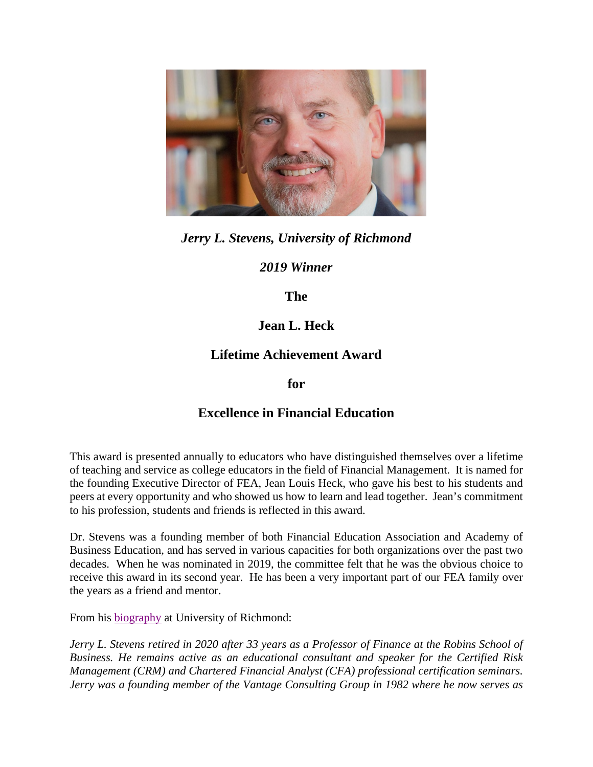

*Jerry L. Stevens, University of Richmond* 

*2019 Winner* 

**The** 

## **Jean L. Heck**

## **Lifetime Achievement Award**

**for** 

## **Excellence in Financial Education**

This award is presented annually to educators who have distinguished themselves over a lifetime of teaching and service as college educators in the field of Financial Management. It is named for the founding Executive Director of FEA, Jean Louis Heck, who gave his best to his students and peers at every opportunity and who showed us how to learn and lead together. Jean's commitment to his profession, students and friends is reflected in this award.

Dr. Stevens was a founding member of both Financial Education Association and Academy of Business Education, and has served in various capacities for both organizations over the past two decades. When he was nominated in 2019, the committee felt that he was the obvious choice to receive this award in its second year. He has been a very important part of our FEA family over the years as a friend and mentor.

From his biography at University of Richmond:

*Jerry L. Stevens retired in 2020 after 33 years as a Professor of Finance at the Robins School of Business. He remains active as an educational consultant and speaker for the Certified Risk Management (CRM) and Chartered Financial Analyst (CFA) professional certification seminars. Jerry was a founding member of the Vantage Consulting Group in 1982 where he now serves as*